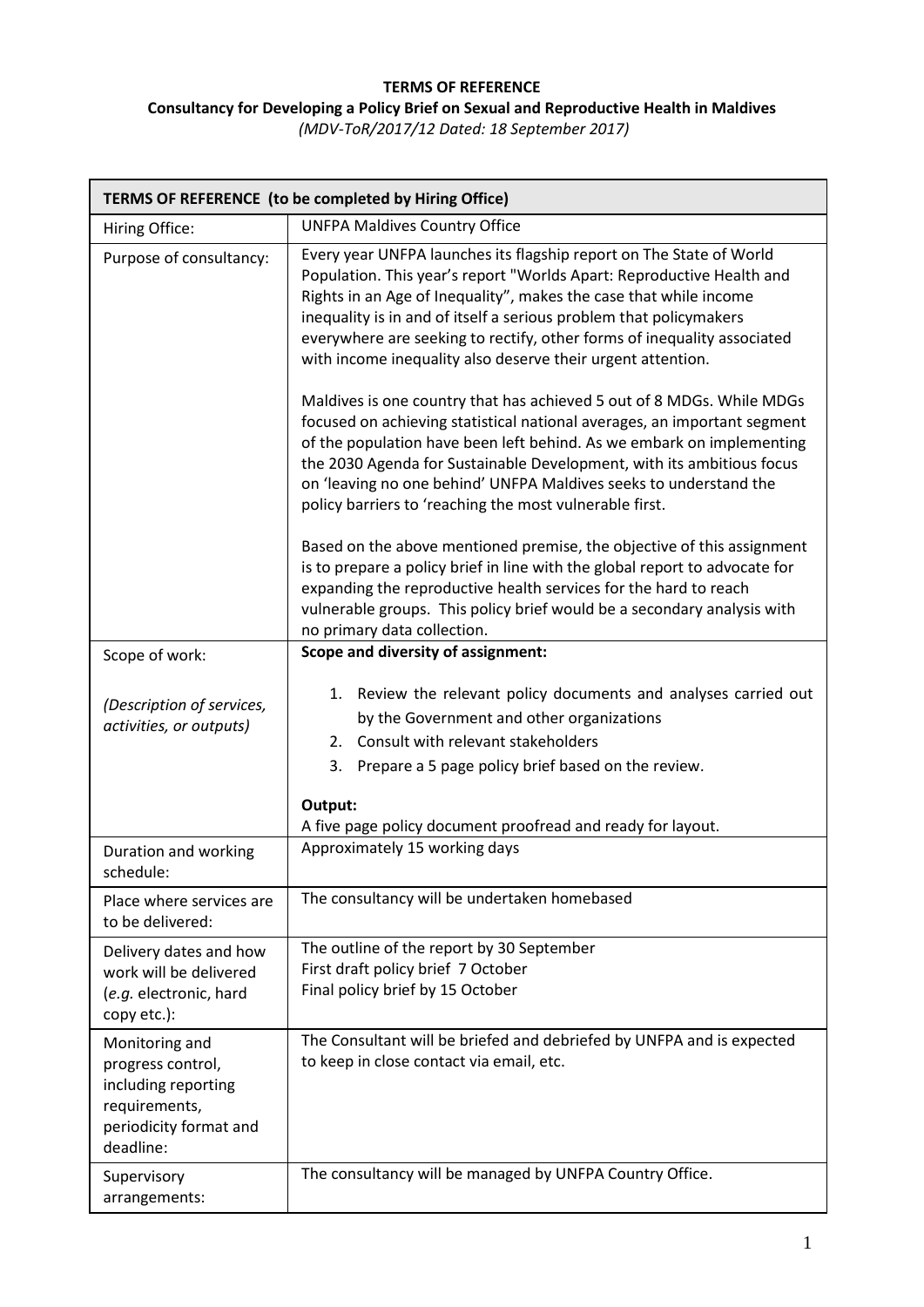## **TERMS OF REFERENCE Consultancy for Developing a Policy Brief on Sexual and Reproductive Health in Maldives** *(MDV-ToR/2017/12 Dated: 18 September 2017)*

| TERMS OF REFERENCE (to be completed by Hiring Office)                                                              |                                                                                                                                                                                                                                                                                                                                                                                                                                     |  |
|--------------------------------------------------------------------------------------------------------------------|-------------------------------------------------------------------------------------------------------------------------------------------------------------------------------------------------------------------------------------------------------------------------------------------------------------------------------------------------------------------------------------------------------------------------------------|--|
| Hiring Office:                                                                                                     | <b>UNFPA Maldives Country Office</b>                                                                                                                                                                                                                                                                                                                                                                                                |  |
| Purpose of consultancy:                                                                                            | Every year UNFPA launches its flagship report on The State of World<br>Population. This year's report "Worlds Apart: Reproductive Health and<br>Rights in an Age of Inequality", makes the case that while income<br>inequality is in and of itself a serious problem that policymakers<br>everywhere are seeking to rectify, other forms of inequality associated<br>with income inequality also deserve their urgent attention.   |  |
|                                                                                                                    | Maldives is one country that has achieved 5 out of 8 MDGs. While MDGs<br>focused on achieving statistical national averages, an important segment<br>of the population have been left behind. As we embark on implementing<br>the 2030 Agenda for Sustainable Development, with its ambitious focus<br>on 'leaving no one behind' UNFPA Maldives seeks to understand the<br>policy barriers to 'reaching the most vulnerable first. |  |
|                                                                                                                    | Based on the above mentioned premise, the objective of this assignment<br>is to prepare a policy brief in line with the global report to advocate for<br>expanding the reproductive health services for the hard to reach<br>vulnerable groups. This policy brief would be a secondary analysis with<br>no primary data collection.                                                                                                 |  |
| Scope of work:                                                                                                     | Scope and diversity of assignment:                                                                                                                                                                                                                                                                                                                                                                                                  |  |
| (Description of services,<br>activities, or outputs)                                                               | 1. Review the relevant policy documents and analyses carried out<br>by the Government and other organizations<br>2. Consult with relevant stakeholders<br>3. Prepare a 5 page policy brief based on the review.                                                                                                                                                                                                                     |  |
|                                                                                                                    | Output:                                                                                                                                                                                                                                                                                                                                                                                                                             |  |
| Duration and working<br>schedule:                                                                                  | A five page policy document proofread and ready for layout.<br>Approximately 15 working days                                                                                                                                                                                                                                                                                                                                        |  |
| Place where services are<br>to be delivered:                                                                       | The consultancy will be undertaken homebased                                                                                                                                                                                                                                                                                                                                                                                        |  |
| Delivery dates and how<br>work will be delivered<br>(e.g. electronic, hard<br>copy etc.):                          | The outline of the report by 30 September<br>First draft policy brief 7 October<br>Final policy brief by 15 October                                                                                                                                                                                                                                                                                                                 |  |
| Monitoring and<br>progress control,<br>including reporting<br>requirements,<br>periodicity format and<br>deadline: | The Consultant will be briefed and debriefed by UNFPA and is expected<br>to keep in close contact via email, etc.                                                                                                                                                                                                                                                                                                                   |  |
| Supervisory<br>arrangements:                                                                                       | The consultancy will be managed by UNFPA Country Office.                                                                                                                                                                                                                                                                                                                                                                            |  |